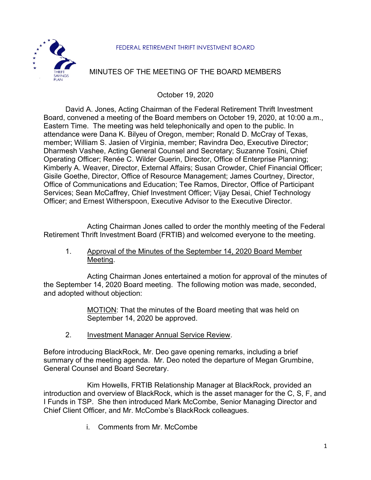FEDERAL RETIREMENT THRIFT INVESTMENT BOARD



# MINUTES OF THE MEETING OF THE BOARD MEMBERS

October 19, 2020

David A. Jones, Acting Chairman of the Federal Retirement Thrift Investment Board, convened a meeting of the Board members on October 19, 2020, at 10:00 a.m., Eastern Time. The meeting was held telephonically and open to the public. In attendance were Dana K. Bilyeu of Oregon, member; Ronald D. McCray of Texas, member; William S. Jasien of Virginia, member; Ravindra Deo, Executive Director; Dharmesh Vashee, Acting General Counsel and Secretary; Suzanne Tosini, Chief Operating Officer; Renée C. Wilder Guerin, Director, Office of Enterprise Planning; Kimberly A. Weaver, Director, External Affairs; Susan Crowder, Chief Financial Officer; Gisile Goethe, Director, Office of Resource Management; James Courtney, Director, Office of Communications and Education; Tee Ramos, Director, Office of Participant Services; Sean McCaffrey, Chief Investment Officer; Vijay Desai, Chief Technology Officer; and Ernest Witherspoon, Executive Advisor to the Executive Director.

Acting Chairman Jones called to order the monthly meeting of the Federal Retirement Thrift Investment Board (FRTIB) and welcomed everyone to the meeting.

1. Approval of the Minutes of the September 14, 2020 Board Member Meeting.

Acting Chairman Jones entertained a motion for approval of the minutes of the September 14, 2020 Board meeting. The following motion was made, seconded, and adopted without objection:

> MOTION: That the minutes of the Board meeting that was held on September 14, 2020 be approved.

2. Investment Manager Annual Service Review.

Before introducing BlackRock, Mr. Deo gave opening remarks, including a brief summary of the meeting agenda. Mr. Deo noted the departure of Megan Grumbine, General Counsel and Board Secretary.

Kim Howells, FRTIB Relationship Manager at BlackRock, provided an introduction and overview of BlackRock, which is the asset manager for the C, S, F, and I Funds in TSP. She then introduced Mark McCombe, Senior Managing Director and Chief Client Officer, and Mr. McCombe's BlackRock colleagues.

i. Comments from Mr. McCombe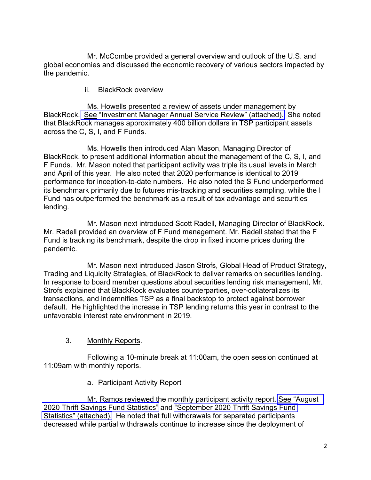Mr. McCombe provided a general overview and outlook of the U.S. and global economies and discussed the economic recovery of various sectors impacted by the pandemic.

### ii. BlackRock overview

Ms. Howells presented a review of assets under management by BlackRock. [See "Investment Manager Annual Service Review" \(attached\).](https://www.frtib.gov/pdf/minutes/2020/Oct/MM-2020Oct-Att1.pdf) She noted that BlackRock manages approximately 400 billion dollars in TSP participant assets across the C, S, I, and F Funds.

Ms. Howells then introduced Alan Mason, Managing Director of BlackRock, to present additional information about the management of the C, S, I, and F Funds. Mr. Mason noted that participant activity was triple its usual levels in March and April of this year. He also noted that 2020 performance is identical to 2019 performance for inception-to-date numbers. He also noted the S Fund underperformed its benchmark primarily due to futures mis-tracking and securities sampling, while the I Fund has outperformed the benchmark as a result of tax advantage and securities lending.

Mr. Mason next introduced Scott Radell, Managing Director of BlackRock. Mr. Radell provided an overview of F Fund management. Mr. Radell stated that the F Fund is tracking its benchmark, despite the drop in fixed income prices during the pandemic.

Mr. Mason next introduced Jason Strofs, Global Head of Product Strategy, Trading and Liquidity Strategies, of BlackRock to deliver remarks on securities lending. In response to board member questions about securities lending risk management, Mr. Strofs explained that BlackRock evaluates counterparties, over-collateralizes its transactions, and indemnifies TSP as a final backstop to protect against borrower default. He highlighted the increase in TSP lending returns this year in contrast to the unfavorable interest rate environment in 2019.

#### 3. Monthly Reports.

Following a 10-minute break at 11:00am, the open session continued at 11:09am with monthly reports.

a. Participant Activity Report

Mr. Ramos reviewed the monthly participant activity report. See ["August](https://www.frtib.gov/pdf/minutes/2020/Oct/MM-2020Oct-Att2.pdf)  [2020 Thrift Savings Fund Statistics"](https://www.frtib.gov/pdf/minutes/2020/Oct/MM-2020Oct-Att2.pdf) and ["September 2020 Thrift Savings Fund](https://www.frtib.gov/pdf/minutes/2020/Oct/MM-2020Oct-Att3.pdf)  [Statistics" \(attached\).](https://www.frtib.gov/pdf/minutes/2020/Oct/MM-2020Oct-Att3.pdf) He noted that full withdrawals for separated participants decreased while partial withdrawals continue to increase since the deployment of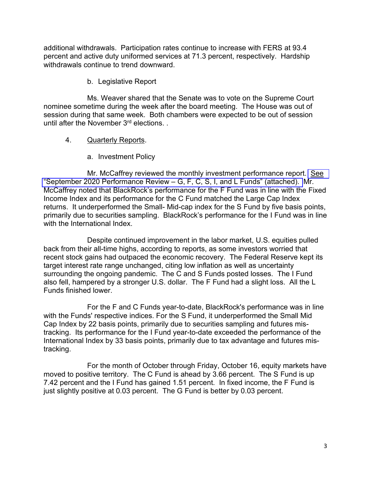additional withdrawals. Participation rates continue to increase with FERS at 93.4 percent and active duty uniformed services at 71.3 percent, respectively. Hardship withdrawals continue to trend downward.

b. Legislative Report

Ms. Weaver shared that the Senate was to vote on the Supreme Court nominee sometime during the week after the board meeting. The House was out of session during that same week. Both chambers were expected to be out of session until after the November 3<sup>rd</sup> elections.

- 4. Quarterly Reports.
	- a. Investment Policy

Mr. McCaffrey reviewed the monthly investment performance report. [See](https://www.frtib.gov/pdf/minutes/2020/Oct/MM-2020Oct-Att4.pdf) ["September 2020 Performance Review – G, F, C, S, I, and L Funds" \(attached\).](https://www.frtib.gov/pdf/minutes/2020/Oct/MM-2020Oct-Att4.pdf) Mr. McCaffrey noted that BlackRock's performance for the F Fund was in line with the Fixed Income Index and its performance for the C Fund matched the Large Cap Index returns. It underperformed the Small- Mid-cap index for the S Fund by five basis points, primarily due to securities sampling. BlackRock's performance for the I Fund was in line with the International Index.

Despite continued improvement in the labor market, U.S. equities pulled back from their all-time highs, according to reports, as some investors worried that recent stock gains had outpaced the economic recovery. The Federal Reserve kept its target interest rate range unchanged, citing low inflation as well as uncertainty surrounding the ongoing pandemic. The C and S Funds posted losses. The I Fund also fell, hampered by a stronger U.S. dollar. The F Fund had a slight loss. All the L Funds finished lower.

For the F and C Funds year-to-date, BlackRock's performance was in line with the Funds' respective indices. For the S Fund, it underperformed the Small Mid Cap Index by 22 basis points, primarily due to securities sampling and futures mistracking. Its performance for the I Fund year-to-date exceeded the performance of the International Index by 33 basis points, primarily due to tax advantage and futures mistracking.

For the month of October through Friday, October 16, equity markets have moved to positive territory. The C Fund is ahead by 3.66 percent. The S Fund is up 7.42 percent and the I Fund has gained 1.51 percent. In fixed income, the F Fund is just slightly positive at 0.03 percent. The G Fund is better by 0.03 percent.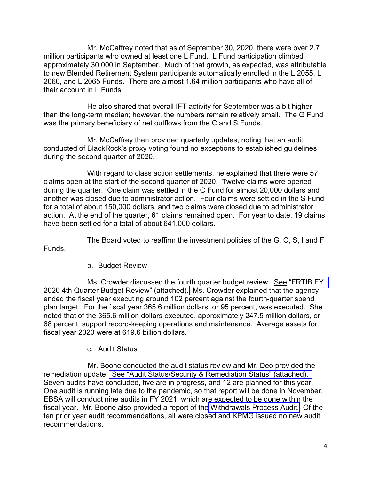Mr. McCaffrey noted that as of September 30, 2020, there were over 2.7 million participants who owned at least one L Fund. L Fund participation climbed approximately 30,000 in September. Much of that growth, as expected, was attributable to new Blended Retirement System participants automatically enrolled in the L 2055, L 2060, and L 2065 Funds. There are almost 1.64 million participants who have all of their account in L Funds.

He also shared that overall IFT activity for September was a bit higher than the long-term median; however, the numbers remain relatively small. The G Fund was the primary beneficiary of net outflows from the C and S Funds.

Mr. McCaffrey then provided quarterly updates, noting that an audit conducted of BlackRock's proxy voting found no exceptions to established guidelines during the second quarter of 2020.

With regard to class action settlements, he explained that there were 57 claims open at the start of the second quarter of 2020. Twelve claims were opened during the quarter. One claim was settled in the C Fund for almost 20,000 dollars and another was closed due to administrator action. Four claims were settled in the S Fund for a total of about 150,000 dollars, and two claims were closed due to administrator action. At the end of the quarter, 61 claims remained open. For year to date, 19 claims have been settled for a total of about 641,000 dollars.

The Board voted to reaffirm the investment policies of the G, C, S, I and F

Funds.

b. Budget Review

Ms. Crowder discussed the fourth quarter budget review. See ["FRTIB FY](https://www.frtib.gov/pdf/minutes/2020/Oct/MM-2020Oct-Att5.pdf)  [2020 4th Quarter Budget Review" \(attached\).](https://www.frtib.gov/pdf/minutes/2020/Oct/MM-2020Oct-Att5.pdf) Ms. Crowder explained that the agency ended the fiscal year executing around 102 percent against the fourth-quarter spend plan target. For the fiscal year 365.6 million dollars, or 95 percent, was executed. She noted that of the 365.6 million dollars executed, approximately 247.5 million dollars, or 68 percent, support record-keeping operations and maintenance. Average assets for fiscal year 2020 were at 619.6 billion dollars.

c. Audit Status

 Mr. Boone conducted the audit status review and Mr. Deo provided the remediation update. See "Audit [Status/Security & Remediation Status" \(attached\).](https://www.frtib.gov/pdf/minutes/2020/Oct/MM-2020Oct-Att6.pdf)  Seven audits have concluded, five are in progress, and 12 are planned for this year. One audit is running late due to the pandemic, so that report will be done in November. EBSA will conduct nine audits in FY 2021, which are expected to be done within the fiscal year. Mr. Boone also provided a report of the [Withdrawals Process Audit.](https://www.frtib.gov/pdf/minutes/2020/Oct/MM-2020Oct-Att7.pdf) Of the ten prior year audit recommendations, all were closed and KPMG issued no new audit recommendations.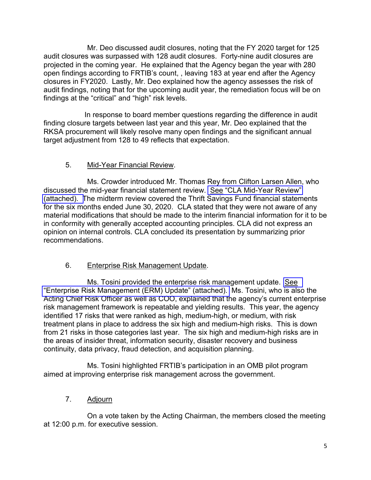Mr. Deo discussed audit closures, noting that the FY 2020 target for 125 audit closures was surpassed with 128 audit closures. Forty-nine audit closures are projected in the coming year. He explained that the Agency began the year with 280 open findings according to FRTIB's count, , leaving 183 at year end after the Agency closures in FY2020. Lastly, Mr. Deo explained how the agency assesses the risk of audit findings, noting that for the upcoming audit year, the remediation focus will be on findings at the "critical" and "high" risk levels.

In response to board member questions regarding the difference in audit finding closure targets between last year and this year, Mr. Deo explained that the RKSA procurement will likely resolve many open findings and the significant annual target adjustment from 128 to 49 reflects that expectation.

## 5. Mid-Year Financial Review.

Ms. Crowder introduced Mr. Thomas Rey from Clifton Larsen Allen, who discussed the mid-year financial statement review. [See "CLA Mid-Year Review"](https://www.frtib.gov/pdf/minutes/2020/Oct/MM-2020Oct-Att8.pdf)  [\(attached\). T](https://www.frtib.gov/pdf/minutes/2020/Oct/MM-2020Oct-Att8.pdf)he midterm review covered the Thrift Savings Fund financial statements for the six months ended June 30, 2020. CLA stated that they were not aware of any material modifications that should be made to the interim financial information for it to be in conformity with generally accepted accounting principles. CLA did not express an opinion on internal controls. CLA concluded its presentation by summarizing prior recommendations.

## 6. Enterprise Risk Management Update.

Ms. Tosini provided the enterprise risk management update. [See](https://www.frtib.gov/pdf/minutes/2020/Oct/MM-2020Oct-Att9.pdf) ["Enterprise Risk Management \(ERM\) Update" \(attached\).](https://www.frtib.gov/pdf/minutes/2020/Oct/MM-2020Oct-Att9.pdf) Ms. Tosini, who is also the Acting Chief Risk Officer as well as COO, explained that the agency's current enterprise risk management framework is repeatable and yielding results. This year, the agency identified 17 risks that were ranked as high, medium-high, or medium, with risk treatment plans in place to address the six high and medium-high risks. This is down from 21 risks in those categories last year. The six high and medium-high risks are in the areas of insider threat, information security, disaster recovery and business continuity, data privacy, fraud detection, and acquisition planning.

Ms. Tosini highlighted FRTIB's participation in an OMB pilot program aimed at improving enterprise risk management across the government.

# 7. Adjourn

On a vote taken by the Acting Chairman, the members closed the meeting at 12:00 p.m. for executive session.